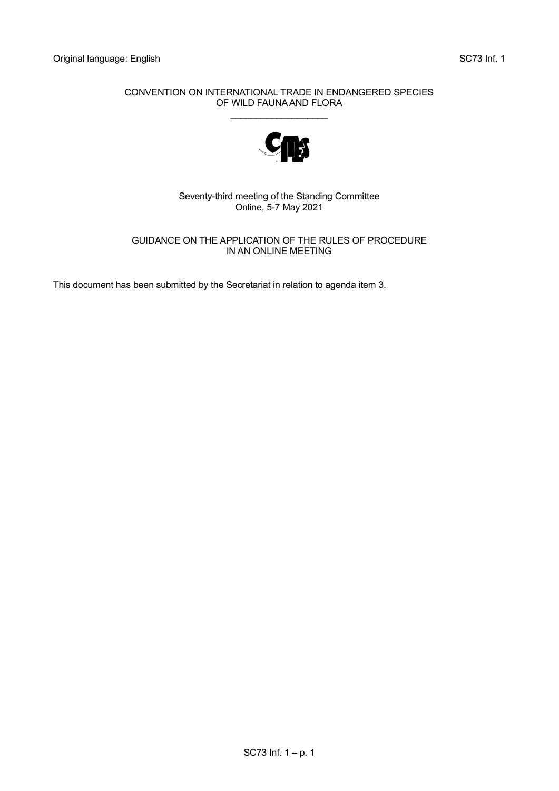## CONVENTION ON INTERNATIONAL TRADE IN ENDANGERED SPECIES OF WILD FAUNA AND FLORA \_\_\_\_\_\_\_\_\_\_\_\_\_\_\_\_\_\_\_



Seventy-third meeting of the Standing Committee Online, 5-7 May 2021

# GUIDANCE ON THE APPLICATION OF THE RULES OF PROCEDURE IN AN ONLINE MEETING

This document has been submitted by the Secretariat in relation to agenda item 3.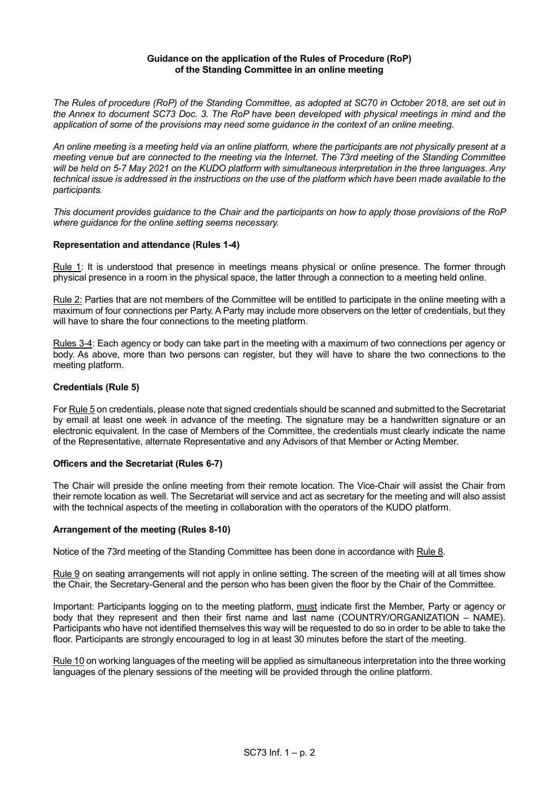### **Guidance on the application of the Rules of Procedure (RoP) of the Standing Committee in an online meeting**

*The Rules of procedure (RoP) of the Standing Committee, as adopted at SC70 in October 2018, are set out in the Annex to document SC73 Doc. 3. The RoP have been developed with physical meetings in mind and the application of some of the provisions may need some guidance in the context of an online meeting.* 

*An online meeting is a meeting held via an online platform, where the participants are not physically present at a meeting venue but are connected to the meeting via the Internet. The 73rd meeting of the Standing Committee will be held on 5-7 May 2021 on the KUDO platform with simultaneous interpretation in the three languages. Any technical issue is addressed in the instructions on the use of the platform which have been made available to the participants.* 

*This document provides guidance to the Chair and the participants on how to apply those provisions of the RoP where guidance for the online setting seems necessary.* 

# **Representation and attendance (Rules 1-4)**

Rule 1: It is understood that presence in meetings means physical or online presence. The former through physical presence in a room in the physical space, the latter through a connection to a meeting held online.

Rule 2: Parties that are not members of the Committee will be entitled to participate in the online meeting with a maximum of four connections per Party. A Party may include more observers on the letter of credentials, but they will have to share the four connections to the meeting platform.

Rules 3-4: Each agency or body can take part in the meeting with a maximum of two connections per agency or body. As above, more than two persons can register, but they will have to share the two connections to the meeting platform.

## **Credentials (Rule 5)**

For Rule 5 on credentials, please note that signed credentials should be scanned and submitted to the Secretariat by email at least one week in advance of the meeting. The signature may be a handwritten signature or an electronic equivalent. In the case of Members of the Committee, the credentials must clearly indicate the name of the Representative, alternate Representative and any Advisors of that Member or Acting Member.

#### **Officers and the Secretariat (Rules 6-7)**

The Chair will preside the online meeting from their remote location. The Vice-Chair will assist the Chair from their remote location as well. The Secretariat will service and act as secretary for the meeting and will also assist with the technical aspects of the meeting in collaboration with the operators of the KUDO platform.

#### **Arrangement of the meeting (Rules 8-10)**

Notice of the 73rd meeting of the Standing Committee has been done in accordance with Rule 8.

Rule 9 on seating arrangements will not apply in online setting. The screen of the meeting will at all times show the Chair, the Secretary-General and the person who has been given the floor by the Chair of the Committee.

Important: Participants logging on to the meeting platform, must indicate first the Member, Party or agency or body that they represent and then their first name and last name (COUNTRY/ORGANIZATION – NAME). Participants who have not identified themselves this way will be requested to do so in order to be able to take the floor. Participants are strongly encouraged to log in at least 30 minutes before the start of the meeting.

Rule 10 on working languages of the meeting will be applied as simultaneous interpretation into the three working languages of the plenary sessions of the meeting will be provided through the online platform.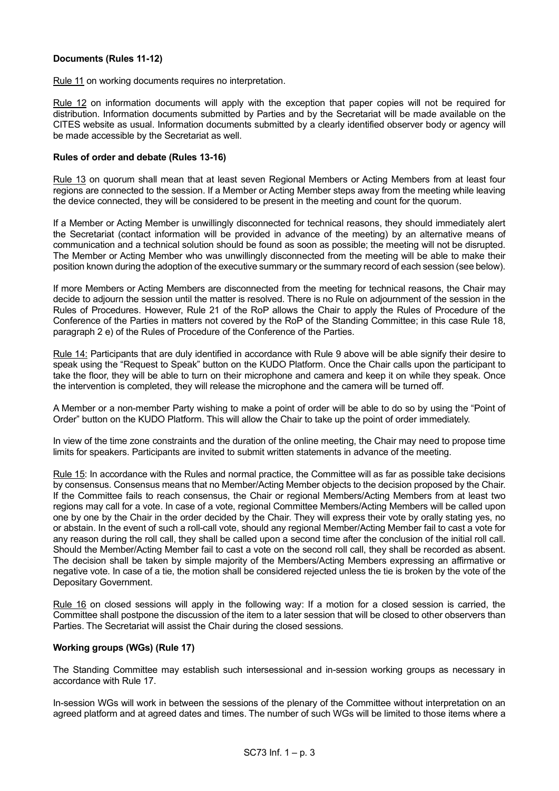# **Documents (Rules 11-12)**

Rule 11 on working documents requires no interpretation.

Rule 12 on information documents will apply with the exception that paper copies will not be required for distribution. Information documents submitted by Parties and by the Secretariat will be made available on the CITES website as usual. Information documents submitted by a clearly identified observer body or agency will be made accessible by the Secretariat as well.

#### **Rules of order and debate (Rules 13-16)**

Rule 13 on quorum shall mean that at least seven Regional Members or Acting Members from at least four regions are connected to the session. If a Member or Acting Member steps away from the meeting while leaving the device connected, they will be considered to be present in the meeting and count for the quorum.

If a Member or Acting Member is unwillingly disconnected for technical reasons, they should immediately alert the Secretariat (contact information will be provided in advance of the meeting) by an alternative means of communication and a technical solution should be found as soon as possible; the meeting will not be disrupted. The Member or Acting Member who was unwillingly disconnected from the meeting will be able to make their position known during the adoption of the executive summary or the summary record of each session (see below).

If more Members or Acting Members are disconnected from the meeting for technical reasons, the Chair may decide to adjourn the session until the matter is resolved. There is no Rule on adjournment of the session in the Rules of Procedures. However, Rule 21 of the RoP allows the Chair to apply the Rules of Procedure of the Conference of the Parties in matters not covered by the RoP of the Standing Committee; in this case Rule 18, paragraph 2 e) of the Rules of Procedure of the Conference of the Parties.

Rule 14: Participants that are duly identified in accordance with Rule 9 above will be able signify their desire to speak using the "Request to Speak" button on the KUDO Platform. Once the Chair calls upon the participant to take the floor, they will be able to turn on their microphone and camera and keep it on while they speak. Once the intervention is completed, they will release the microphone and the camera will be turned off.

A Member or a non-member Party wishing to make a point of order will be able to do so by using the "Point of Order" button on the KUDO Platform. This will allow the Chair to take up the point of order immediately.

In view of the time zone constraints and the duration of the online meeting, the Chair may need to propose time limits for speakers. Participants are invited to submit written statements in advance of the meeting.

Rule 15: In accordance with the Rules and normal practice, the Committee will as far as possible take decisions by consensus. Consensus means that no Member/Acting Member objects to the decision proposed by the Chair. If the Committee fails to reach consensus, the Chair or regional Members/Acting Members from at least two regions may call for a vote. In case of a vote, regional Committee Members/Acting Members will be called upon one by one by the Chair in the order decided by the Chair. They will express their vote by orally stating yes, no or abstain. In the event of such a roll-call vote, should any regional Member/Acting Member fail to cast a vote for any reason during the roll call, they shall be called upon a second time after the conclusion of the initial roll call. Should the Member/Acting Member fail to cast a vote on the second roll call, they shall be recorded as absent. The decision shall be taken by simple majority of the Members/Acting Members expressing an affirmative or negative vote. In case of a tie, the motion shall be considered rejected unless the tie is broken by the vote of the Depositary Government.

Rule 16 on closed sessions will apply in the following way: If a motion for a closed session is carried, the Committee shall postpone the discussion of the item to a later session that will be closed to other observers than Parties. The Secretariat will assist the Chair during the closed sessions.

## **Working groups (WGs) (Rule 17)**

The Standing Committee may establish such intersessional and in-session working groups as necessary in accordance with Rule 17.

In-session WGs will work in between the sessions of the plenary of the Committee without interpretation on an agreed platform and at agreed dates and times. The number of such WGs will be limited to those items where a